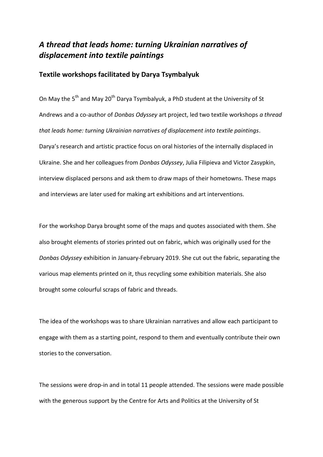## *A thread that leads home: turning Ukrainian narratives of displacement into textile paintings*

## **Textile workshops facilitated by Darya Tsymbalyuk**

On May the 5<sup>th</sup> and May 20<sup>th</sup> Darya Tsymbalyuk, a PhD student at the University of St Andrews and a co-author of *Donbas Odyssey* art project, led two textile workshops *a thread that leads home: turning Ukrainian narratives of displacement into textile paintings*. Darya's research and artistic practice focus on oral histories of the internally displaced in Ukraine. She and her colleagues from *Donbas Odyssey*, Julia Filipieva and Victor Zasypkin, interview displaced persons and ask them to draw maps of their hometowns. These maps and interviews are later used for making art exhibitions and art interventions.

For the workshop Darya brought some of the maps and quotes associated with them. She also brought elements of stories printed out on fabric, which was originally used for the *Donbas Odyssey* exhibition in January-February 2019. She cut out the fabric, separating the various map elements printed on it, thus recycling some exhibition materials. She also brought some colourful scraps of fabric and threads.

The idea of the workshops was to share Ukrainian narratives and allow each participant to engage with them as a starting point, respond to them and eventually contribute their own stories to the conversation.

The sessions were drop-in and in total 11 people attended. The sessions were made possible with the generous support by the Centre for Arts and Politics at the University of St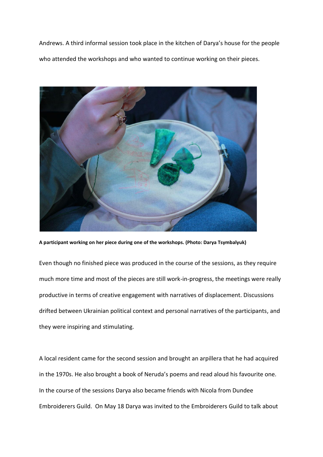Andrews. A third informal session took place in the kitchen of Darya's house for the people who attended the workshops and who wanted to continue working on their pieces.



**A participant working on her piece during one of the workshops. (Photo: Darya Tsymbalyuk)**

Even though no finished piece was produced in the course of the sessions, as they require much more time and most of the pieces are still work-in-progress, the meetings were really productive in terms of creative engagement with narratives of displacement. Discussions drifted between Ukrainian political context and personal narratives of the participants, and they were inspiring and stimulating.

A local resident came for the second session and brought an arpillera that he had acquired in the 1970s. He also brought a book of Neruda's poems and read aloud his favourite one. In the course of the sessions Darya also became friends with Nicola from Dundee Embroiderers Guild. On May 18 Darya was invited to the Embroiderers Guild to talk about